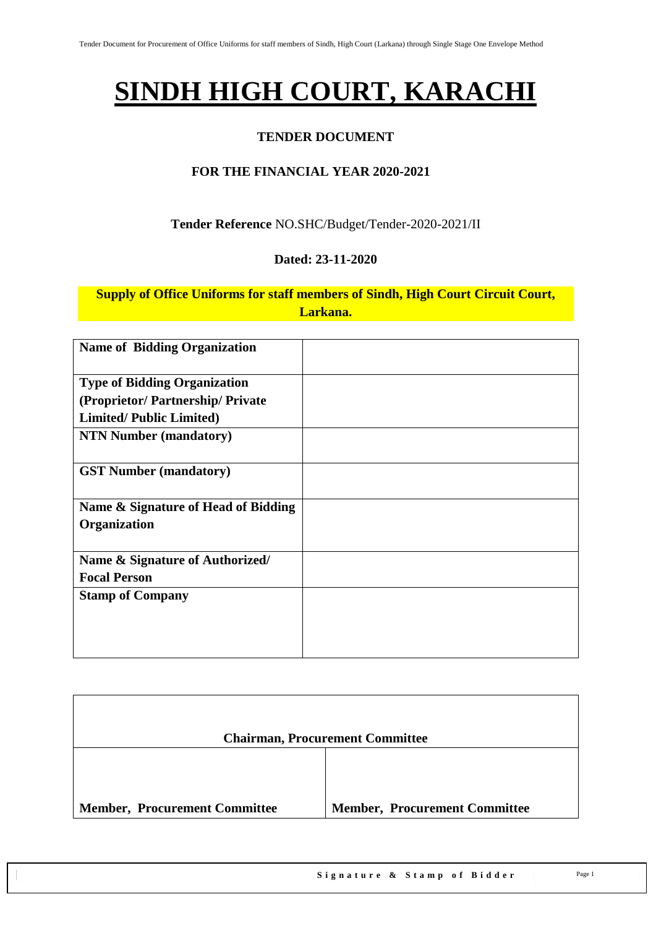## **SINDH HIGH COURT, KARACHI**

### **TENDER DOCUMENT**

### **FOR THE FINANCIAL YEAR 2020-2021**

#### **Tender Reference** NO.SHC/Budget/Tender-2020-2021/II

#### **Dated: 23-11-2020**

#### **Supply of Office Uniforms for staff members of Sindh, High Court Circuit Court, Larkana.**

| <b>Name of Bidding Organization</b> |  |
|-------------------------------------|--|
| <b>Type of Bidding Organization</b> |  |
| (Proprietor/Partnership/Private)    |  |
| <b>Limited/Public Limited)</b>      |  |
| <b>NTN Number (mandatory)</b>       |  |
| <b>GST Number (mandatory)</b>       |  |
| Name & Signature of Head of Bidding |  |
| Organization                        |  |
|                                     |  |
| Name & Signature of Authorized/     |  |
| <b>Focal Person</b>                 |  |
| <b>Stamp of Company</b>             |  |
|                                     |  |
|                                     |  |
|                                     |  |

|                                      | <b>Chairman, Procurement Committee</b> |
|--------------------------------------|----------------------------------------|
|                                      |                                        |
| <b>Member, Procurement Committee</b> | <b>Member, Procurement Committee</b>   |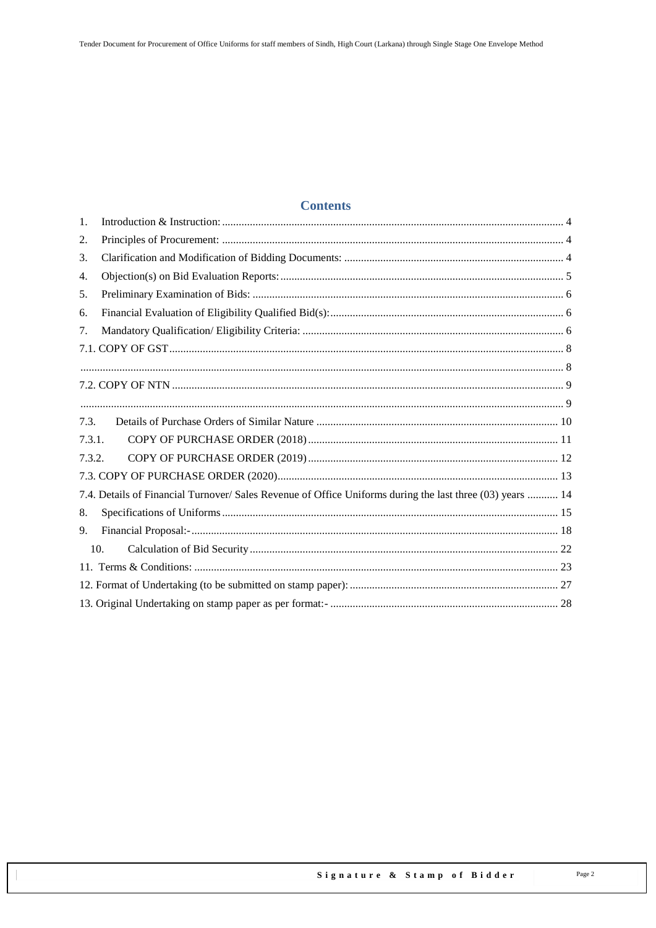#### **Contents**

| 1.     |                                                                                                           |  |  |  |  |  |  |
|--------|-----------------------------------------------------------------------------------------------------------|--|--|--|--|--|--|
| 2.     |                                                                                                           |  |  |  |  |  |  |
| 3.     |                                                                                                           |  |  |  |  |  |  |
| 4.     |                                                                                                           |  |  |  |  |  |  |
| 5.     |                                                                                                           |  |  |  |  |  |  |
| 6.     |                                                                                                           |  |  |  |  |  |  |
| 7.     |                                                                                                           |  |  |  |  |  |  |
|        |                                                                                                           |  |  |  |  |  |  |
|        |                                                                                                           |  |  |  |  |  |  |
|        |                                                                                                           |  |  |  |  |  |  |
|        |                                                                                                           |  |  |  |  |  |  |
| 7.3.   |                                                                                                           |  |  |  |  |  |  |
| 7.3.1. |                                                                                                           |  |  |  |  |  |  |
| 7.3.2. |                                                                                                           |  |  |  |  |  |  |
|        |                                                                                                           |  |  |  |  |  |  |
|        | 7.4. Details of Financial Turnover/ Sales Revenue of Office Uniforms during the last three (03) years  14 |  |  |  |  |  |  |
| 8.     |                                                                                                           |  |  |  |  |  |  |
| 9.     |                                                                                                           |  |  |  |  |  |  |
| 10.    |                                                                                                           |  |  |  |  |  |  |
|        |                                                                                                           |  |  |  |  |  |  |
|        |                                                                                                           |  |  |  |  |  |  |
|        |                                                                                                           |  |  |  |  |  |  |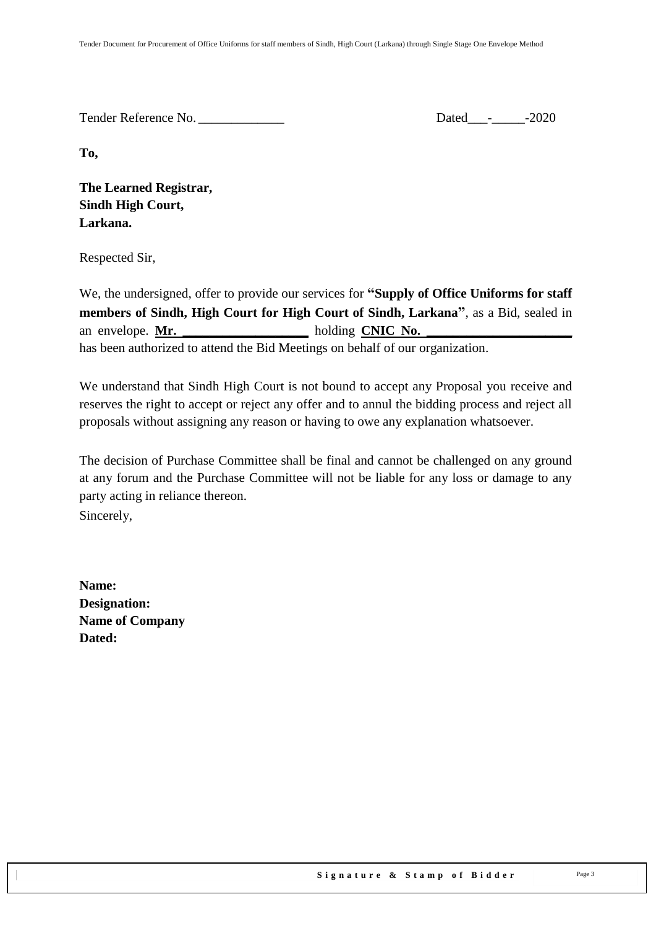Tender Reference No. \_\_\_\_\_\_\_\_\_\_\_\_\_ Dated\_\_\_-\_\_\_\_\_-2020

**To,** 

**The Learned Registrar, Sindh High Court, Larkana.**

Respected Sir,

We, the undersigned, offer to provide our services for **"Supply of Office Uniforms for staff members of Sindh, High Court for High Court of Sindh, Larkana"**, as a Bid, sealed in an envelope. **Mr. \_\_\_\_\_\_\_\_\_\_\_\_\_\_\_\_\_\_\_** holding **CNIC No. \_\_\_\_\_\_\_\_\_\_\_\_\_\_\_\_\_\_\_\_\_\_** has been authorized to attend the Bid Meetings on behalf of our organization.

We understand that Sindh High Court is not bound to accept any Proposal you receive and reserves the right to accept or reject any offer and to annul the bidding process and reject all proposals without assigning any reason or having to owe any explanation whatsoever.

The decision of Purchase Committee shall be final and cannot be challenged on any ground at any forum and the Purchase Committee will not be liable for any loss or damage to any party acting in reliance thereon. Sincerely,

**Name: Designation: Name of Company Dated:**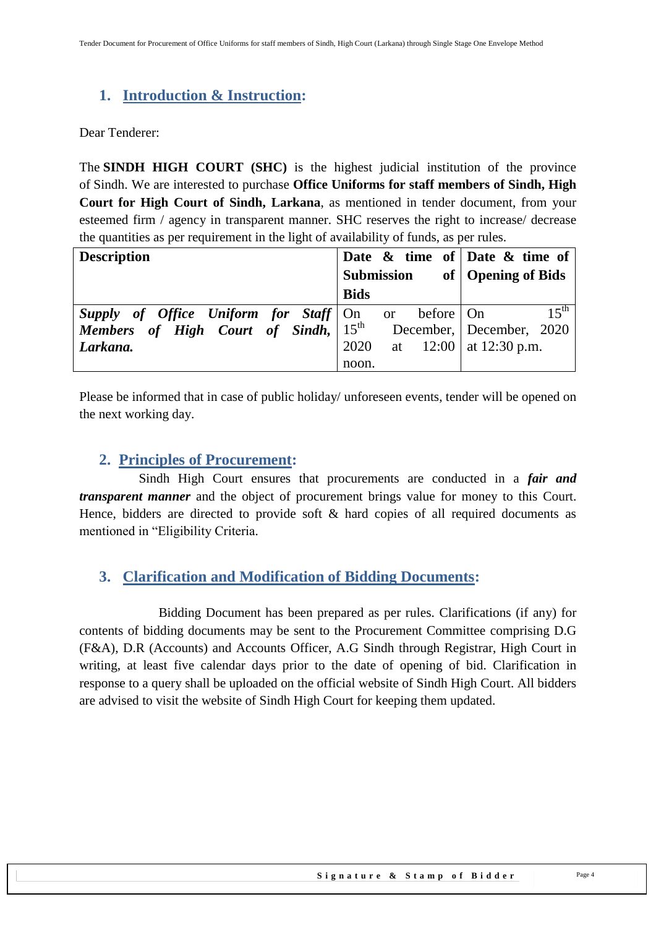## <span id="page-3-0"></span>**1. Introduction & Instruction:**

Dear Tenderer:

The **SINDH HIGH COURT (SHC)** is the highest judicial institution of the province of [Sindh.](https://en.wikipedia.org/wiki/Sindh) We are interested to purchase **Office Uniforms for staff members of Sindh, High Court for High Court of Sindh, Larkana**, as mentioned in tender document, from your esteemed firm / agency in transparent manner. SHC reserves the right to increase/ decrease the quantities as per requirement in the light of availability of funds, as per rules.

| <b>Description</b>                                      |             |    |             | Date $\&$ time of Date $\&$ time of |
|---------------------------------------------------------|-------------|----|-------------|-------------------------------------|
|                                                         | Submission  |    |             | of   Opening of Bids                |
|                                                         | <b>Bids</b> |    |             |                                     |
| <b>Supply of Office Uniform for Staff</b> $\vert$ On or |             |    | before   On | $15^{th}$                           |
| <b>Members</b> of High Court of Sindh, $15^{th}$        |             |    |             | December, December, 2020            |
| Larkana.                                                | 2020        | at |             | $12:00$   at 12:30 p.m.             |
|                                                         | noon.       |    |             |                                     |

<span id="page-3-1"></span>Please be informed that in case of public holiday/ unforeseen events, tender will be opened on the next working day.

### **2. Principles of Procurement:**

 Sindh High Court ensures that procurements are conducted in a *fair and transparent manner* and the object of procurement brings value for money to this Court. Hence, bidders are directed to provide soft & hard copies of all required documents as mentioned in "Eligibility Criteria.

## <span id="page-3-2"></span>**3. Clarification and Modification of Bidding Documents:**

Bidding Document has been prepared as per rules. Clarifications (if any) for contents of bidding documents may be sent to the Procurement Committee comprising D.G (F&A), D.R (Accounts) and Accounts Officer, A.G Sindh through Registrar, High Court in writing, at least five calendar days prior to the date of opening of bid. Clarification in response to a query shall be uploaded on the official website of Sindh High Court. All bidders are advised to visit the website of Sindh High Court for keeping them updated.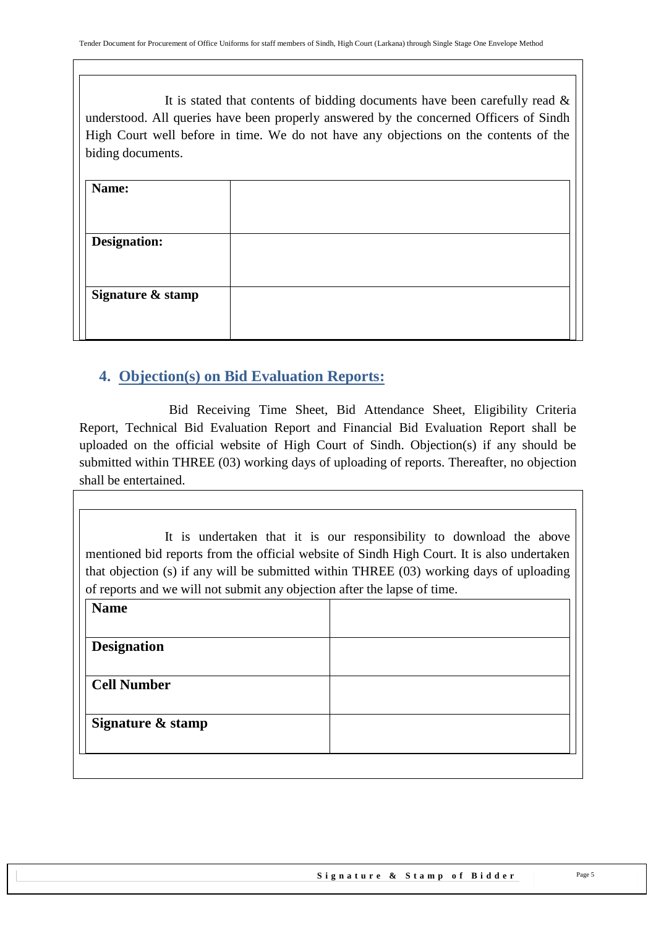It is stated that contents of bidding documents have been carefully read  $\&$ understood. All queries have been properly answered by the concerned Officers of Sindh High Court well before in time. We do not have any objections on the contents of the biding documents.

| Name:               |  |
|---------------------|--|
|                     |  |
| <b>Designation:</b> |  |
|                     |  |
| Signature & stamp   |  |
|                     |  |

## <span id="page-4-0"></span>**4. Objection(s) on Bid Evaluation Reports:**

 Bid Receiving Time Sheet, Bid Attendance Sheet, Eligibility Criteria Report, Technical Bid Evaluation Report and Financial Bid Evaluation Report shall be uploaded on the official website of High Court of Sindh. Objection(s) if any should be submitted within THREE (03) working days of uploading of reports. Thereafter, no objection shall be entertained.

It is undertaken that it is our responsibility to download the above mentioned bid reports from the official website of Sindh High Court. It is also undertaken that objection (s) if any will be submitted within THREE (03) working days of uploading of reports and we will not submit any objection after the lapse of time.

| <b>Name</b>        |  |
|--------------------|--|
|                    |  |
| <b>Designation</b> |  |
| <b>Cell Number</b> |  |
| Signature & stamp  |  |
|                    |  |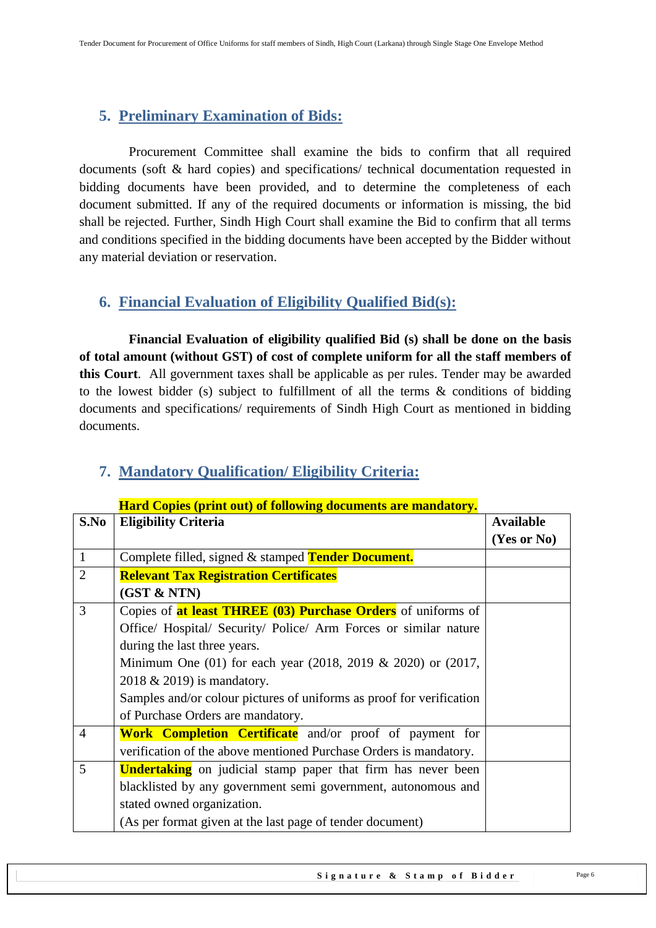## <span id="page-5-0"></span>**5. Preliminary Examination of Bids:**

 Procurement Committee shall examine the bids to confirm that all required documents (soft & hard copies) and specifications/ technical documentation requested in bidding documents have been provided, and to determine the completeness of each document submitted. If any of the required documents or information is missing, the bid shall be rejected. Further, Sindh High Court shall examine the Bid to confirm that all terms and conditions specified in the bidding documents have been accepted by the Bidder without any material deviation or reservation.

## <span id="page-5-1"></span>**6. Financial Evaluation of Eligibility Qualified Bid(s):**

 **Financial Evaluation of eligibility qualified Bid (s) shall be done on the basis of total amount (without GST) of cost of complete uniform for all the staff members of this Court**. All government taxes shall be applicable as per rules. Tender may be awarded to the lowest bidder (s) subject to fulfillment of all the terms & conditions of bidding documents and specifications/ requirements of Sindh High Court as mentioned in bidding documents.

|                | пага Соркз (ргни оці) от гономик аосинсніз аге ніаплаюту.                 |                  |
|----------------|---------------------------------------------------------------------------|------------------|
| S.No           | <b>Eligibility Criteria</b>                                               | <b>Available</b> |
|                |                                                                           | (Yes or No)      |
| $\mathbf{1}$   | Complete filled, signed & stamped Tender Document.                        |                  |
| $\overline{2}$ | <b>Relevant Tax Registration Certificates</b>                             |                  |
|                | (GST & NTN)                                                               |                  |
| 3              | Copies of <b>at least THREE (03) Purchase Orders</b> of uniforms of       |                  |
|                | Office/ Hospital/ Security/ Police/ Arm Forces or similar nature          |                  |
|                | during the last three years.                                              |                  |
|                | Minimum One $(01)$ for each year $(2018, 2019 \& 2020)$ or $(2017, 2017)$ |                  |
|                | 2018 & 2019) is mandatory.                                                |                  |
|                | Samples and/or colour pictures of uniforms as proof for verification      |                  |
|                | of Purchase Orders are mandatory.                                         |                  |
| $\overline{4}$ | <b>Work Completion Certificate</b> and/or proof of payment for            |                  |
|                | verification of the above mentioned Purchase Orders is mandatory.         |                  |
| 5              | <b>Undertaking</b> on judicial stamp paper that firm has never been       |                  |
|                | blacklisted by any government semi government, autonomous and             |                  |
|                | stated owned organization.                                                |                  |
|                | (As per format given at the last page of tender document)                 |                  |

## <span id="page-5-2"></span>**7. Mandatory Qualification/ Eligibility Criteria:**

## **Hard Copies (print out) of following documents are mandatory.**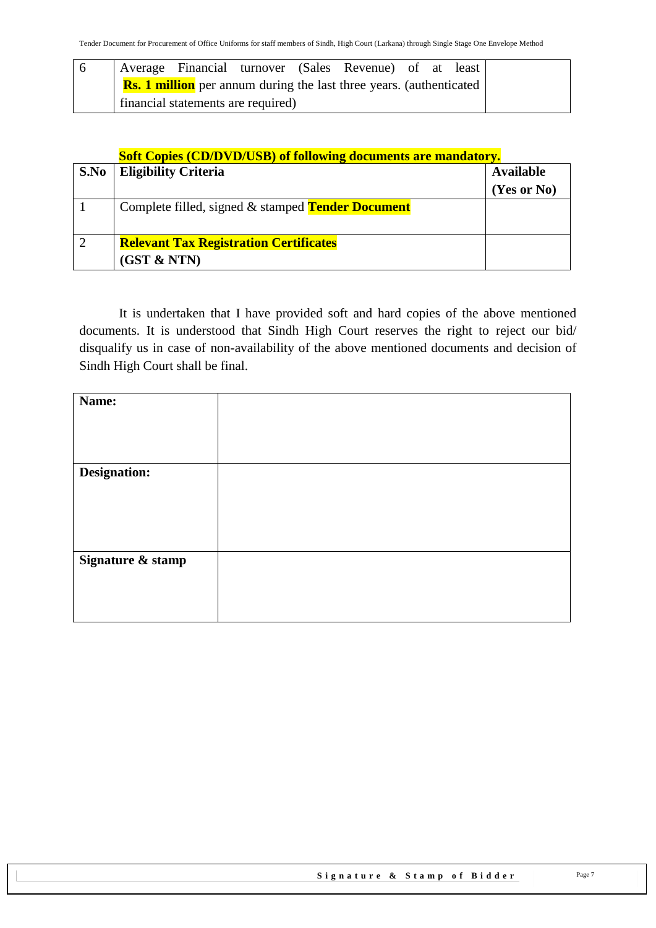|  |                                    |  | Average Financial turnover (Sales Revenue) of at least                     |  |  |
|--|------------------------------------|--|----------------------------------------------------------------------------|--|--|
|  |                                    |  | <b>Rs. 1 million</b> per annum during the last three years. (authenticated |  |  |
|  | financial statements are required) |  |                                                                            |  |  |

#### **Soft Copies (CD/DVD/USB) of following documents are mandatory.**

| S.No | <b>Eligibility Criteria</b>                              | <b>Available</b> |
|------|----------------------------------------------------------|------------------|
|      |                                                          | (Yes or No)      |
|      | Complete filled, signed & stamped <b>Tender Document</b> |                  |
|      |                                                          |                  |
|      | <b>Relevant Tax Registration Certificates</b>            |                  |
|      | (GST & NTN)                                              |                  |

It is undertaken that I have provided soft and hard copies of the above mentioned documents. It is understood that Sindh High Court reserves the right to reject our bid/ disqualify us in case of non-availability of the above mentioned documents and decision of Sindh High Court shall be final.

| Name:             |  |
|-------------------|--|
| Designation:      |  |
|                   |  |
|                   |  |
|                   |  |
| Signature & stamp |  |
|                   |  |
|                   |  |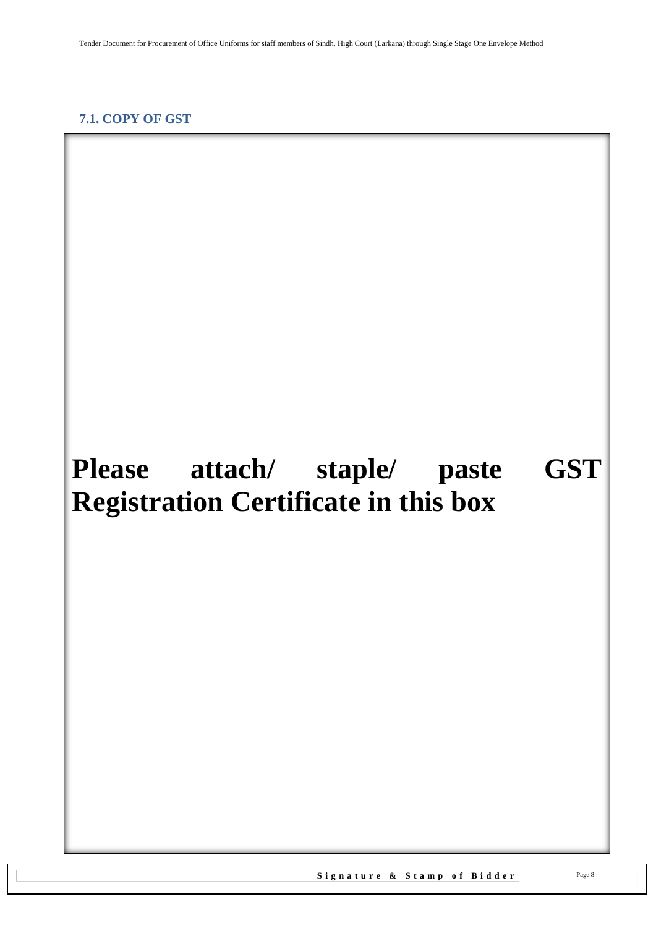#### <span id="page-7-1"></span><span id="page-7-0"></span>**7.1. COPY OF GST**

# **Please attach/ staple/ paste GST Registration Certificate in this box**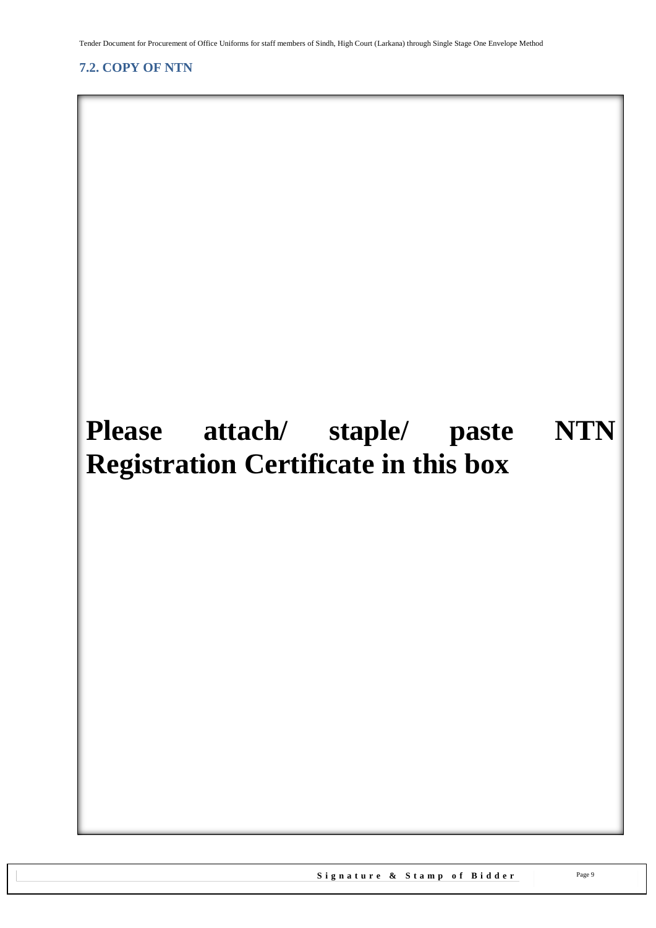<span id="page-8-1"></span>Tender Document for Procurement of Office Uniforms for staff members of Sindh, High Court (Larkana) through Single Stage One Envelope Method

## <span id="page-8-0"></span>**7.2. COPY OF NTN**

## **Please attach/ staple/ paste NTN Registration Certificate in this box**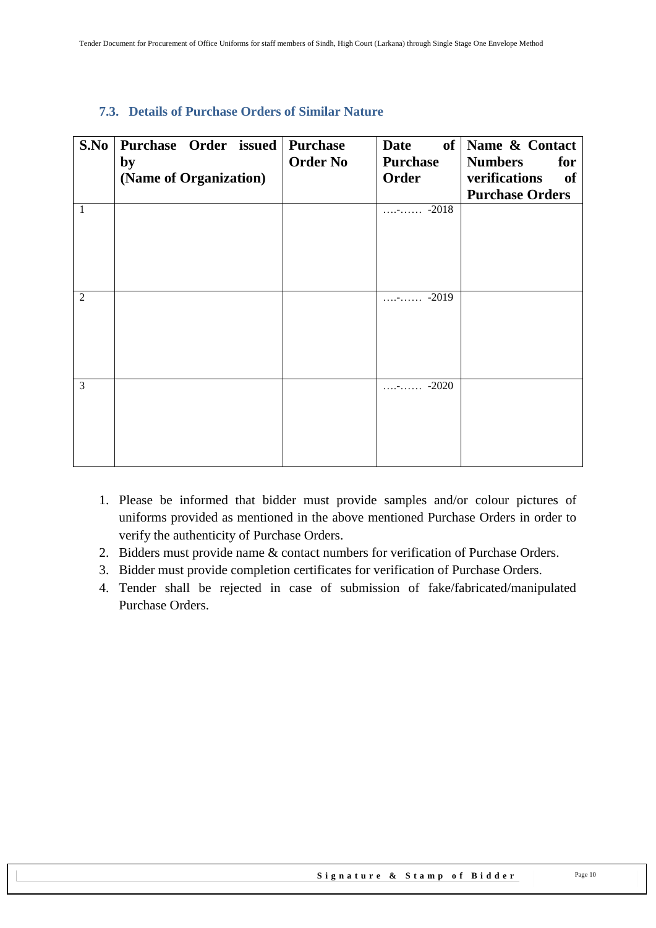| S.No           | Purchase Order issued  | <b>Purchase</b> | Date                      | of Name & Contact      |
|----------------|------------------------|-----------------|---------------------------|------------------------|
|                | by                     | <b>Order No</b> | <b>Purchase</b>           | <b>Numbers</b><br>for  |
|                | (Name of Organization) |                 | Order                     | verifications<br>of    |
|                |                        |                 |                           | <b>Purchase Orders</b> |
| $\mathbf{1}$   |                        |                 | $\cdots$ - $\cdots$ -2018 |                        |
|                |                        |                 |                           |                        |
|                |                        |                 |                           |                        |
|                |                        |                 |                           |                        |
|                |                        |                 |                           |                        |
| 2              |                        |                 | $\cdots$ - $\cdots$ -2019 |                        |
|                |                        |                 |                           |                        |
|                |                        |                 |                           |                        |
|                |                        |                 |                           |                        |
|                |                        |                 |                           |                        |
|                |                        |                 |                           |                        |
| $\overline{3}$ |                        |                 | $\cdots$ - $\cdots$ -2020 |                        |
|                |                        |                 |                           |                        |
|                |                        |                 |                           |                        |
|                |                        |                 |                           |                        |
|                |                        |                 |                           |                        |

#### <span id="page-9-0"></span>**7.3. Details of Purchase Orders of Similar Nature**

- 1. Please be informed that bidder must provide samples and/or colour pictures of uniforms provided as mentioned in the above mentioned Purchase Orders in order to verify the authenticity of Purchase Orders.
- 2. Bidders must provide name & contact numbers for verification of Purchase Orders.
- 3. Bidder must provide completion certificates for verification of Purchase Orders.
- 4. Tender shall be rejected in case of submission of fake/fabricated/manipulated Purchase Orders.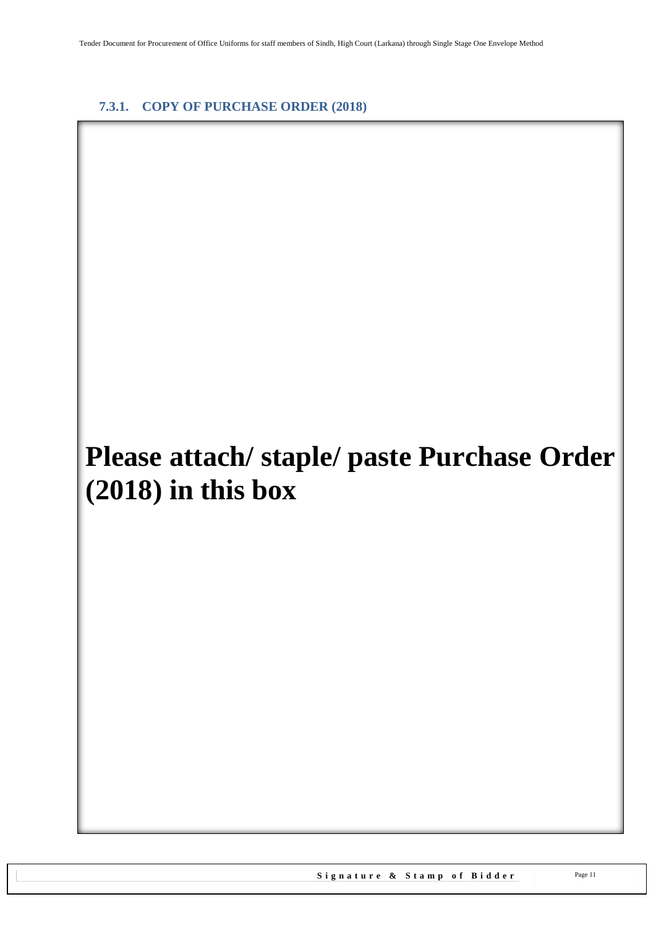#### <span id="page-10-0"></span>**7.3.1. COPY OF PURCHASE ORDER (2018)**

## **Please attach/ staple/ paste Purchase Order (2018) in this box**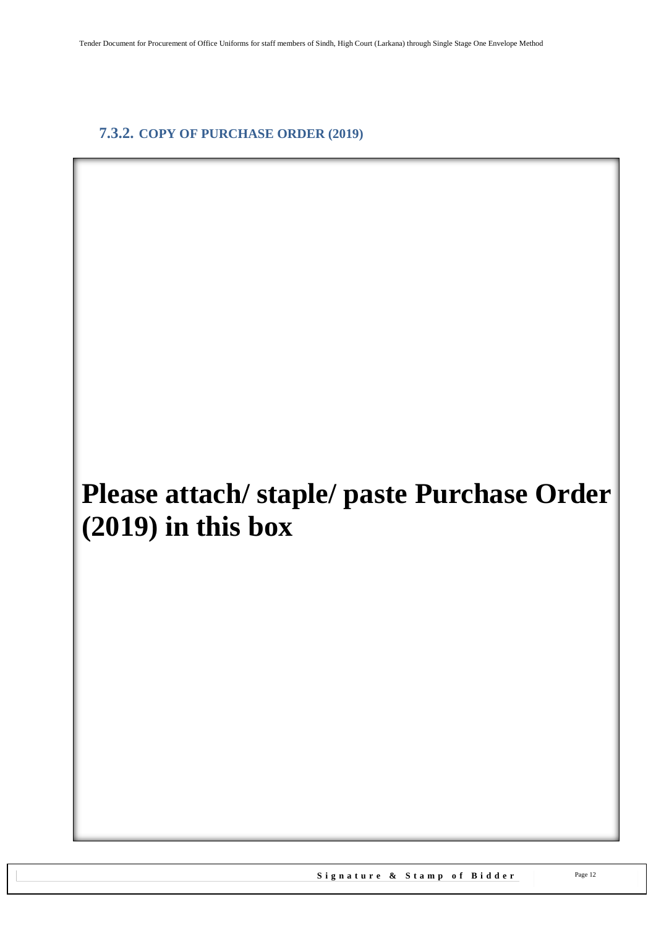### <span id="page-11-0"></span>**7.3.2. COPY OF PURCHASE ORDER (2019)**

## **Please attach/ staple/ paste Purchase Order (2019) in this box**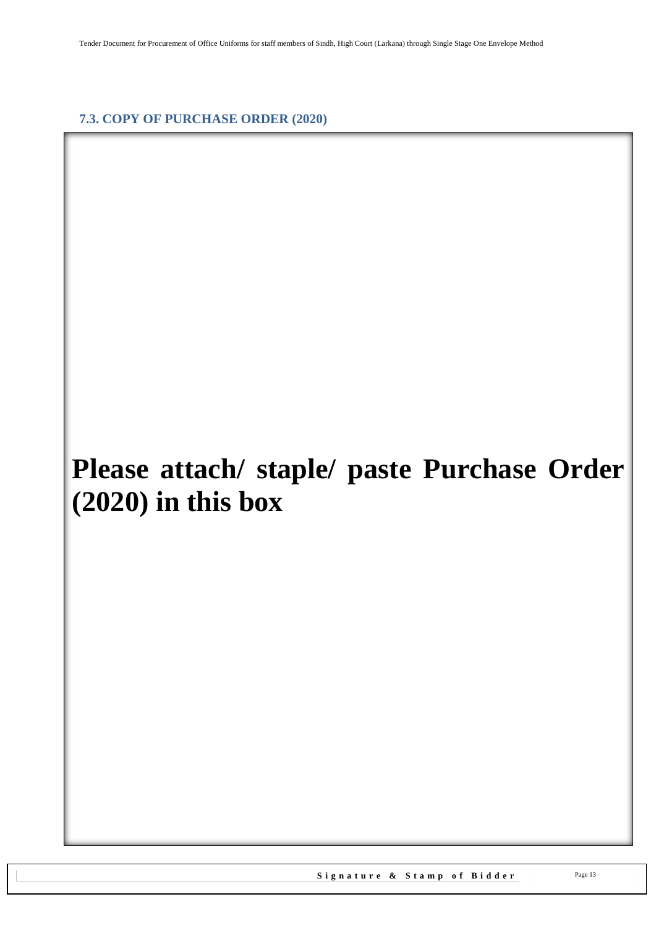<span id="page-12-0"></span>**7.3. COPY OF PURCHASE ORDER (2020)**

## **Please attach/ staple/ paste Purchase Order (2020) in this box**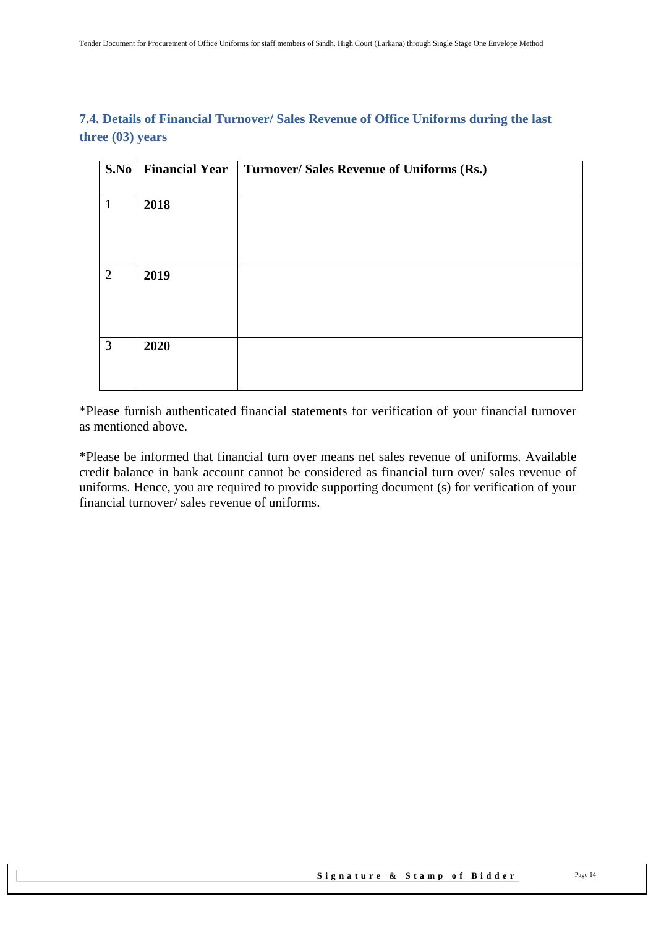#### <span id="page-13-0"></span>**7.4. Details of Financial Turnover/ Sales Revenue of Office Uniforms during the last three (03) years**

| S.No           | <b>Financial Year</b> | Turnover/ Sales Revenue of Uniforms (Rs.) |
|----------------|-----------------------|-------------------------------------------|
|                |                       |                                           |
| $\mathbf{1}$   | 2018                  |                                           |
|                |                       |                                           |
|                |                       |                                           |
|                |                       |                                           |
| 2              | 2019                  |                                           |
|                |                       |                                           |
|                |                       |                                           |
|                |                       |                                           |
| $\mathfrak{Z}$ | 2020                  |                                           |
|                |                       |                                           |
|                |                       |                                           |

\*Please furnish authenticated financial statements for verification of your financial turnover as mentioned above.

\*Please be informed that financial turn over means net sales revenue of uniforms. Available credit balance in bank account cannot be considered as financial turn over/ sales revenue of uniforms. Hence, you are required to provide supporting document (s) for verification of your financial turnover/ sales revenue of uniforms.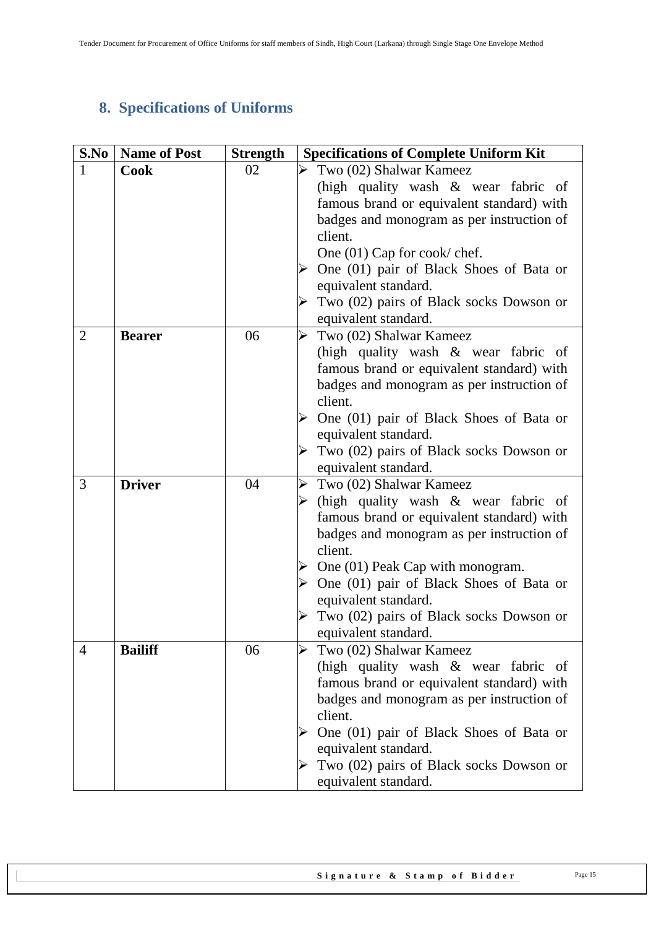## <span id="page-14-0"></span>**8. Specifications of Uniforms**

| S.No           | <b>Name of Post</b> | <b>Strength</b> | <b>Specifications of Complete Uniform Kit</b>                                    |
|----------------|---------------------|-----------------|----------------------------------------------------------------------------------|
| $\mathbf{1}$   | <b>Cook</b>         | 02              | Two (02) Shalwar Kameez                                                          |
|                |                     |                 | (high quality wash & wear fabric of                                              |
|                |                     |                 | famous brand or equivalent standard) with                                        |
|                |                     |                 | badges and monogram as per instruction of                                        |
|                |                     |                 | client.                                                                          |
|                |                     |                 | One $(01)$ Cap for cook/ chef.                                                   |
|                |                     |                 | One (01) pair of Black Shoes of Bata or                                          |
|                |                     |                 | equivalent standard.                                                             |
|                |                     |                 | Two (02) pairs of Black socks Dowson or                                          |
|                |                     |                 | equivalent standard.                                                             |
| $\overline{2}$ | <b>Bearer</b>       | 06              | Two (02) Shalwar Kameez                                                          |
|                |                     |                 | (high quality wash & wear fabric of<br>famous brand or equivalent standard) with |
|                |                     |                 | badges and monogram as per instruction of                                        |
|                |                     |                 | client.                                                                          |
|                |                     |                 | One (01) pair of Black Shoes of Bata or                                          |
|                |                     |                 | equivalent standard.                                                             |
|                |                     |                 | Two (02) pairs of Black socks Dowson or                                          |
|                |                     |                 | equivalent standard.                                                             |
| 3              | <b>Driver</b>       | 04              | Two (02) Shalwar Kameez<br>➤                                                     |
|                |                     |                 | (high quality wash & wear fabric of                                              |
|                |                     |                 | famous brand or equivalent standard) with                                        |
|                |                     |                 | badges and monogram as per instruction of                                        |
|                |                     |                 | client.                                                                          |
|                |                     |                 | $\triangleright$ One (01) Peak Cap with monogram.                                |
|                |                     |                 | $\triangleright$ One (01) pair of Black Shoes of Bata or                         |
|                |                     |                 | equivalent standard.<br>Two (02) pairs of Black socks Dowson or                  |
|                |                     |                 | equivalent standard.                                                             |
| $\overline{4}$ | <b>Bailiff</b>      | 06              | Two (02) Shalwar Kameez                                                          |
|                |                     |                 | (high quality wash & wear fabric of                                              |
|                |                     |                 | famous brand or equivalent standard) with                                        |
|                |                     |                 | badges and monogram as per instruction of                                        |
|                |                     |                 | client.                                                                          |
|                |                     |                 | One (01) pair of Black Shoes of Bata or                                          |
|                |                     |                 | equivalent standard.                                                             |
|                |                     |                 | Two (02) pairs of Black socks Dowson or                                          |
|                |                     |                 | equivalent standard.                                                             |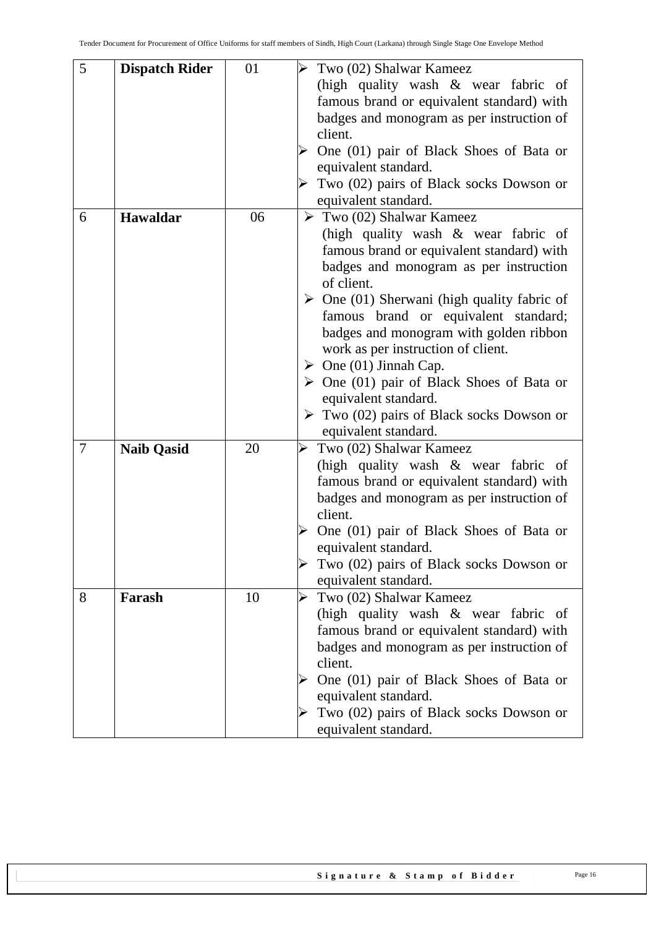| 5<br>01<br>Two (02) Shalwar Kameez<br><b>Dispatch Rider</b><br>(high quality wash & wear fabric of<br>famous brand or equivalent standard) with<br>badges and monogram as per instruction of<br>client.<br>One (01) pair of Black Shoes of Bata or<br>equivalent standard.<br>Two (02) pairs of Black socks Dowson or<br>equivalent standard.<br>$\triangleright$ Two (02) Shalwar Kameez<br>Hawaldar<br>06<br>6<br>(high quality wash & wear fabric of<br>famous brand or equivalent standard) with<br>badges and monogram as per instruction<br>of client.<br>$\triangleright$ One (01) Sherwani (high quality fabric of |
|----------------------------------------------------------------------------------------------------------------------------------------------------------------------------------------------------------------------------------------------------------------------------------------------------------------------------------------------------------------------------------------------------------------------------------------------------------------------------------------------------------------------------------------------------------------------------------------------------------------------------|
|                                                                                                                                                                                                                                                                                                                                                                                                                                                                                                                                                                                                                            |
|                                                                                                                                                                                                                                                                                                                                                                                                                                                                                                                                                                                                                            |
|                                                                                                                                                                                                                                                                                                                                                                                                                                                                                                                                                                                                                            |
|                                                                                                                                                                                                                                                                                                                                                                                                                                                                                                                                                                                                                            |
|                                                                                                                                                                                                                                                                                                                                                                                                                                                                                                                                                                                                                            |
|                                                                                                                                                                                                                                                                                                                                                                                                                                                                                                                                                                                                                            |
|                                                                                                                                                                                                                                                                                                                                                                                                                                                                                                                                                                                                                            |
|                                                                                                                                                                                                                                                                                                                                                                                                                                                                                                                                                                                                                            |
|                                                                                                                                                                                                                                                                                                                                                                                                                                                                                                                                                                                                                            |
|                                                                                                                                                                                                                                                                                                                                                                                                                                                                                                                                                                                                                            |
|                                                                                                                                                                                                                                                                                                                                                                                                                                                                                                                                                                                                                            |
|                                                                                                                                                                                                                                                                                                                                                                                                                                                                                                                                                                                                                            |
|                                                                                                                                                                                                                                                                                                                                                                                                                                                                                                                                                                                                                            |
|                                                                                                                                                                                                                                                                                                                                                                                                                                                                                                                                                                                                                            |
|                                                                                                                                                                                                                                                                                                                                                                                                                                                                                                                                                                                                                            |
| famous brand or equivalent standard;                                                                                                                                                                                                                                                                                                                                                                                                                                                                                                                                                                                       |
| badges and monogram with golden ribbon                                                                                                                                                                                                                                                                                                                                                                                                                                                                                                                                                                                     |
| work as per instruction of client.                                                                                                                                                                                                                                                                                                                                                                                                                                                                                                                                                                                         |
| $\triangleright$ One (01) Jinnah Cap.                                                                                                                                                                                                                                                                                                                                                                                                                                                                                                                                                                                      |
| $\triangleright$ One (01) pair of Black Shoes of Bata or                                                                                                                                                                                                                                                                                                                                                                                                                                                                                                                                                                   |
| equivalent standard.                                                                                                                                                                                                                                                                                                                                                                                                                                                                                                                                                                                                       |
| $\triangleright$ Two (02) pairs of Black socks Dowson or                                                                                                                                                                                                                                                                                                                                                                                                                                                                                                                                                                   |
| equivalent standard.                                                                                                                                                                                                                                                                                                                                                                                                                                                                                                                                                                                                       |
| 7<br><b>Naib Qasid</b><br>20<br>Two (02) Shalwar Kameez                                                                                                                                                                                                                                                                                                                                                                                                                                                                                                                                                                    |
| (high quality wash & wear fabric of                                                                                                                                                                                                                                                                                                                                                                                                                                                                                                                                                                                        |
| famous brand or equivalent standard) with                                                                                                                                                                                                                                                                                                                                                                                                                                                                                                                                                                                  |
| badges and monogram as per instruction of                                                                                                                                                                                                                                                                                                                                                                                                                                                                                                                                                                                  |
| client.                                                                                                                                                                                                                                                                                                                                                                                                                                                                                                                                                                                                                    |
| One (01) pair of Black Shoes of Bata or                                                                                                                                                                                                                                                                                                                                                                                                                                                                                                                                                                                    |
| equivalent standard.                                                                                                                                                                                                                                                                                                                                                                                                                                                                                                                                                                                                       |
| Two (02) pairs of Black socks Dowson or                                                                                                                                                                                                                                                                                                                                                                                                                                                                                                                                                                                    |
| equivalent standard.                                                                                                                                                                                                                                                                                                                                                                                                                                                                                                                                                                                                       |
| Two (02) Shalwar Kameez<br>8<br>Farash<br>10<br>➤                                                                                                                                                                                                                                                                                                                                                                                                                                                                                                                                                                          |
| (high quality wash & wear fabric of                                                                                                                                                                                                                                                                                                                                                                                                                                                                                                                                                                                        |
| famous brand or equivalent standard) with                                                                                                                                                                                                                                                                                                                                                                                                                                                                                                                                                                                  |
| badges and monogram as per instruction of                                                                                                                                                                                                                                                                                                                                                                                                                                                                                                                                                                                  |
| client.                                                                                                                                                                                                                                                                                                                                                                                                                                                                                                                                                                                                                    |
| One (01) pair of Black Shoes of Bata or                                                                                                                                                                                                                                                                                                                                                                                                                                                                                                                                                                                    |
| equivalent standard.                                                                                                                                                                                                                                                                                                                                                                                                                                                                                                                                                                                                       |
| Two (02) pairs of Black socks Dowson or                                                                                                                                                                                                                                                                                                                                                                                                                                                                                                                                                                                    |
| equivalent standard.                                                                                                                                                                                                                                                                                                                                                                                                                                                                                                                                                                                                       |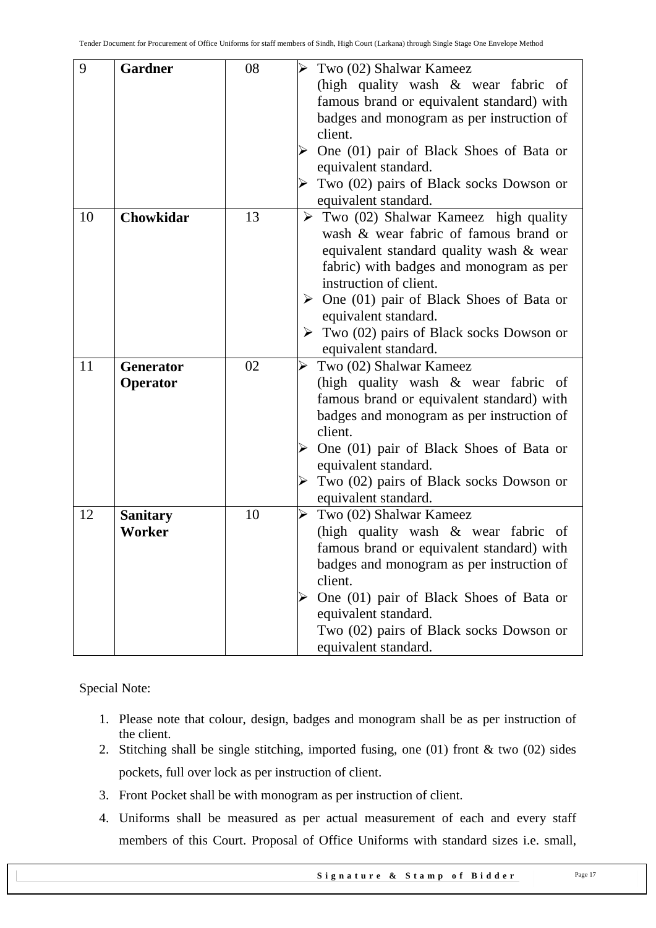| 9  | <b>Gardner</b>   | 08 | Two (02) Shalwar Kameez                                  |
|----|------------------|----|----------------------------------------------------------|
|    |                  |    | (high quality wash & wear fabric of                      |
|    |                  |    | famous brand or equivalent standard) with                |
|    |                  |    | badges and monogram as per instruction of                |
|    |                  |    | client.                                                  |
|    |                  |    |                                                          |
|    |                  |    | One (01) pair of Black Shoes of Bata or                  |
|    |                  |    | equivalent standard.                                     |
|    |                  |    | Two (02) pairs of Black socks Dowson or                  |
|    |                  |    | equivalent standard.                                     |
| 10 | Chowkidar        | 13 | $\triangleright$ Two (02) Shalwar Kameez high quality    |
|    |                  |    | wash & wear fabric of famous brand or                    |
|    |                  |    | equivalent standard quality wash & wear                  |
|    |                  |    | fabric) with badges and monogram as per                  |
|    |                  |    | instruction of client.                                   |
|    |                  |    | $\triangleright$ One (01) pair of Black Shoes of Bata or |
|    |                  |    | equivalent standard.                                     |
|    |                  |    | $\triangleright$ Two (02) pairs of Black socks Dowson or |
|    |                  |    | equivalent standard.                                     |
| 11 | <b>Generator</b> | 02 | Two (02) Shalwar Kameez                                  |
|    | Operator         |    | (high quality wash & wear fabric of                      |
|    |                  |    | famous brand or equivalent standard) with                |
|    |                  |    | badges and monogram as per instruction of                |
|    |                  |    | client.                                                  |
|    |                  |    | One (01) pair of Black Shoes of Bata or                  |
|    |                  |    | equivalent standard.                                     |
|    |                  |    | Two (02) pairs of Black socks Dowson or                  |
|    |                  |    | equivalent standard.                                     |
| 12 | <b>Sanitary</b>  | 10 | Two (02) Shalwar Kameez                                  |
|    | Worker           |    | (high quality wash & wear fabric of                      |
|    |                  |    | famous brand or equivalent standard) with                |
|    |                  |    | badges and monogram as per instruction of                |
|    |                  |    | client.                                                  |
|    |                  |    | One (01) pair of Black Shoes of Bata or                  |
|    |                  |    | equivalent standard.                                     |
|    |                  |    | Two (02) pairs of Black socks Dowson or                  |
|    |                  |    | equivalent standard.                                     |

Special Note:

- 1. Please note that colour, design, badges and monogram shall be as per instruction of the client.
- 2. Stitching shall be single stitching, imported fusing, one (01) front & two (02) sides pockets, full over lock as per instruction of client.
- 3. Front Pocket shall be with monogram as per instruction of client.
- 4. Uniforms shall be measured as per actual measurement of each and every staff members of this Court. Proposal of Office Uniforms with standard sizes i.e. small,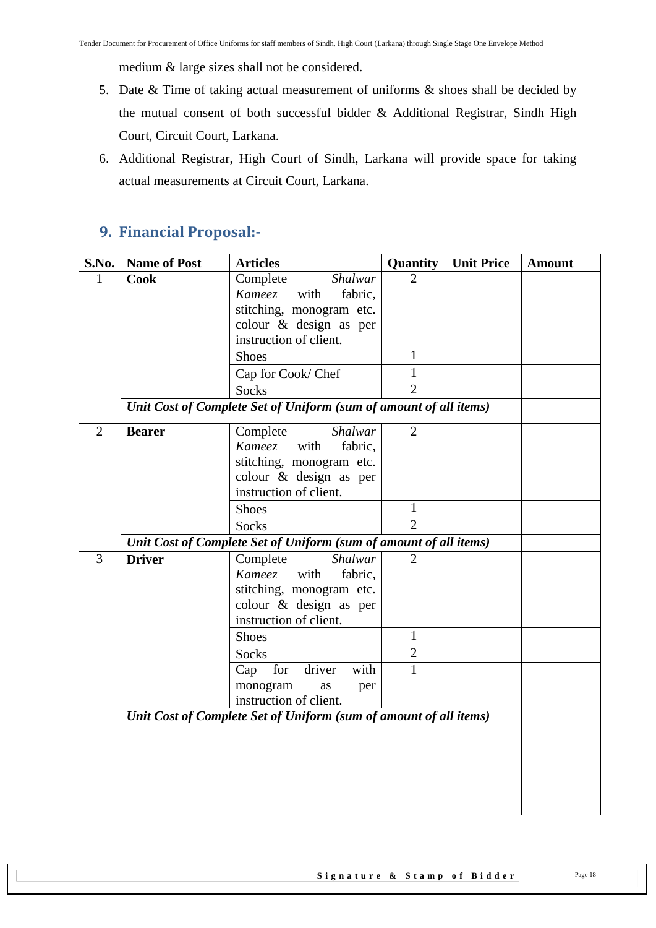medium & large sizes shall not be considered.

- 5. Date & Time of taking actual measurement of uniforms & shoes shall be decided by the mutual consent of both successful bidder & Additional Registrar, Sindh High Court, Circuit Court, Larkana.
- 6. Additional Registrar, High Court of Sindh, Larkana will provide space for taking actual measurements at Circuit Court, Larkana.

## <span id="page-17-0"></span>**9. Financial Proposal:-**

| S.No.          | <b>Name of Post</b> | <b>Articles</b>                                                   | Quantity       | <b>Unit Price</b> | <b>Amount</b> |
|----------------|---------------------|-------------------------------------------------------------------|----------------|-------------------|---------------|
| 1              | <b>Cook</b>         | Complete<br>Shalwar                                               | $\overline{2}$ |                   |               |
|                |                     | <b>Kameez</b><br>with<br>fabric,                                  |                |                   |               |
|                |                     | stitching, monogram etc.                                          |                |                   |               |
|                |                     | colour & design as per                                            |                |                   |               |
|                |                     | instruction of client.                                            |                |                   |               |
|                |                     | <b>Shoes</b>                                                      | $\mathbf{1}$   |                   |               |
|                |                     | Cap for Cook/ Chef                                                | 1              |                   |               |
|                |                     | Socks                                                             | $\overline{2}$ |                   |               |
|                |                     | Unit Cost of Complete Set of Uniform (sum of amount of all items) |                |                   |               |
| $\overline{2}$ | <b>Bearer</b>       | Shalwar<br>Complete                                               | $\overline{2}$ |                   |               |
|                |                     | with<br>Kameez<br>fabric,                                         |                |                   |               |
|                |                     | stitching, monogram etc.                                          |                |                   |               |
|                |                     | colour & design as per                                            |                |                   |               |
|                |                     | instruction of client.                                            |                |                   |               |
|                |                     | <b>Shoes</b>                                                      | $\mathbf{1}$   |                   |               |
|                |                     | Socks                                                             | $\overline{2}$ |                   |               |
|                |                     | Unit Cost of Complete Set of Uniform (sum of amount of all items) |                |                   |               |
| $\overline{3}$ | <b>Driver</b>       | Complete<br>Shalwar                                               | $\overline{2}$ |                   |               |
|                |                     | Kameez<br>with<br>fabric,                                         |                |                   |               |
|                |                     | stitching, monogram etc.                                          |                |                   |               |
|                |                     | colour & design as per                                            |                |                   |               |
|                |                     | instruction of client.                                            |                |                   |               |
|                |                     | <b>Shoes</b>                                                      | 1              |                   |               |
|                |                     | Socks                                                             | $\overline{2}$ |                   |               |
|                |                     | driver<br>with<br>for<br>Cap                                      | $\mathbf{1}$   |                   |               |
|                |                     | monogram<br>as<br>per                                             |                |                   |               |
|                |                     | instruction of client.                                            |                |                   |               |
|                |                     | Unit Cost of Complete Set of Uniform (sum of amount of all items) |                |                   |               |
|                |                     |                                                                   |                |                   |               |
|                |                     |                                                                   |                |                   |               |
|                |                     |                                                                   |                |                   |               |
|                |                     |                                                                   |                |                   |               |
|                |                     |                                                                   |                |                   |               |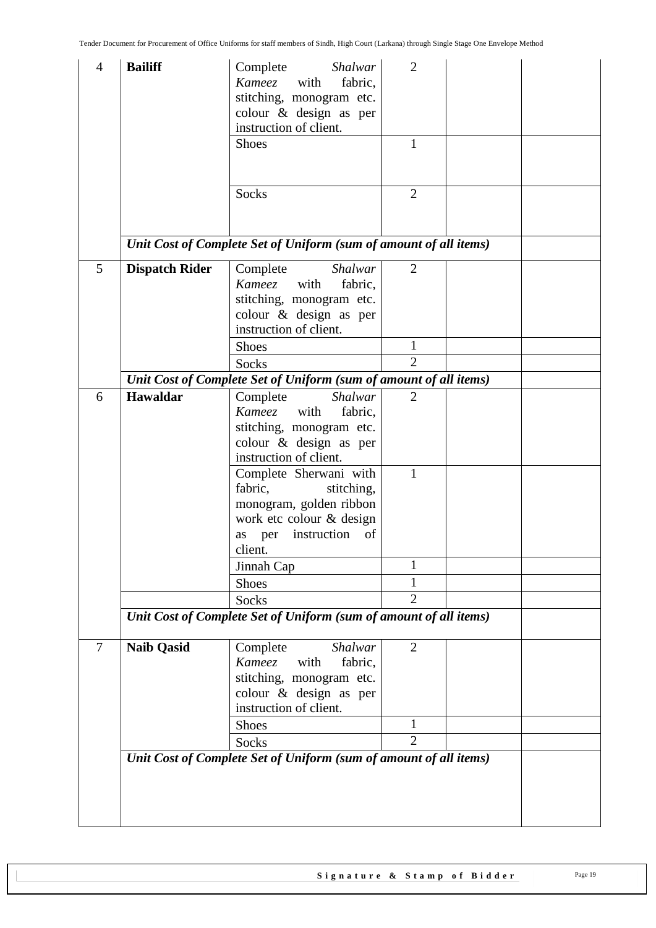| $\overline{4}$ | <b>Bailiff</b>        | Shalwar<br>Complete<br>Kameez<br>with<br>fabric,<br>stitching, monogram etc.<br>colour & design as per<br>instruction of client.<br><b>Shoes</b><br>Socks | $\overline{2}$<br>$\mathbf{1}$<br>$\overline{2}$ |  |
|----------------|-----------------------|-----------------------------------------------------------------------------------------------------------------------------------------------------------|--------------------------------------------------|--|
|                |                       | Unit Cost of Complete Set of Uniform (sum of amount of all items)                                                                                         |                                                  |  |
| 5              | <b>Dispatch Rider</b> | Complete<br>Shalwar<br>Kameez<br>with<br>fabric,<br>stitching, monogram etc.<br>colour & design as per<br>instruction of client.                          | $\overline{2}$                                   |  |
|                |                       | <b>Shoes</b>                                                                                                                                              | 1                                                |  |
|                |                       | Socks                                                                                                                                                     | $\overline{2}$                                   |  |
| 6              | <b>Hawaldar</b>       | Unit Cost of Complete Set of Uniform (sum of amount of all items)<br><b>Shalwar</b>                                                                       | $\overline{2}$                                   |  |
|                |                       | Complete<br>Kameez<br>with<br>fabric,<br>stitching, monogram etc.<br>colour & design as per<br>instruction of client.                                     |                                                  |  |
|                |                       | Complete Sherwani with<br>fabric,<br>stitching,<br>monogram, golden ribbon<br>work etc colour & design<br>instruction<br>as per<br>of<br>client.          | 1                                                |  |
|                |                       | Jinnah Cap                                                                                                                                                | 1                                                |  |
|                |                       | <b>Shoes</b>                                                                                                                                              | 1                                                |  |
|                |                       | Socks                                                                                                                                                     | $\overline{2}$                                   |  |
|                |                       | Unit Cost of Complete Set of Uniform (sum of amount of all items)                                                                                         |                                                  |  |
| $\overline{7}$ | <b>Naib Qasid</b>     | Complete<br>Shalwar<br>Kameez<br>with<br>fabric,<br>stitching, monogram etc.<br>colour & design as per<br>instruction of client.                          | $\overline{2}$                                   |  |
|                |                       | Shoes                                                                                                                                                     | $\mathbf{1}$                                     |  |
|                |                       | Socks                                                                                                                                                     | $\overline{2}$                                   |  |
|                |                       | Unit Cost of Complete Set of Uniform (sum of amount of all items)                                                                                         |                                                  |  |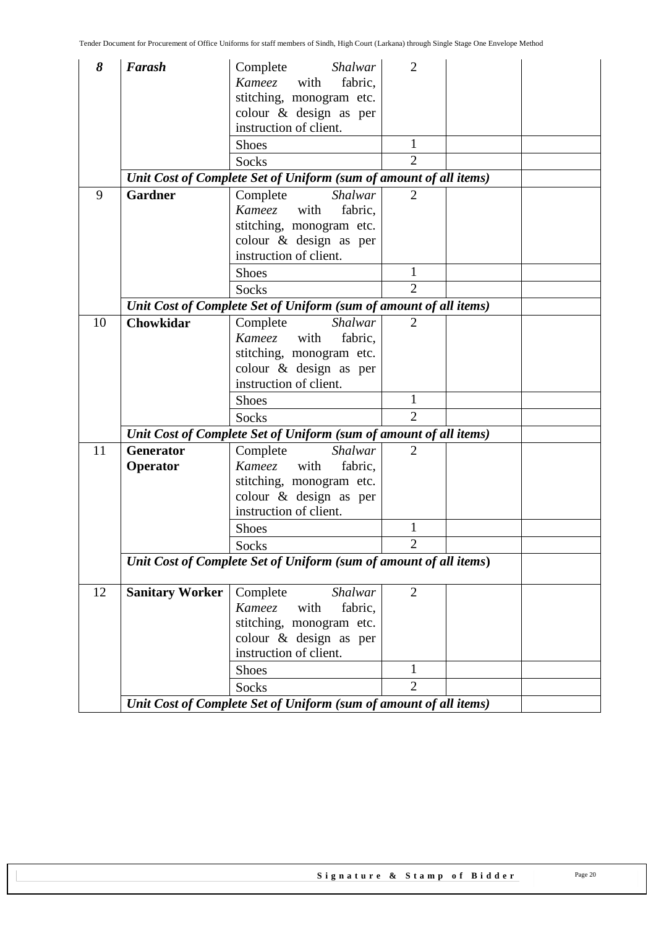| 8  | Farash                 | Shalwar<br>Complete<br>Kameez<br>with<br>fabric,                             | $\overline{2}$ |  |
|----|------------------------|------------------------------------------------------------------------------|----------------|--|
|    |                        | stitching, monogram etc.<br>colour & design as per<br>instruction of client. |                |  |
|    |                        | <b>Shoes</b>                                                                 | 1              |  |
|    |                        | <b>Socks</b>                                                                 | $\overline{2}$ |  |
|    |                        | Unit Cost of Complete Set of Uniform (sum of amount of all items)            |                |  |
| 9  | <b>Gardner</b>         | Shalwar<br>Complete                                                          | $\overline{2}$ |  |
|    |                        | Kameez<br>with<br>fabric,                                                    |                |  |
|    |                        | stitching, monogram etc.                                                     |                |  |
|    |                        | colour & design as per                                                       |                |  |
|    |                        | instruction of client.                                                       |                |  |
|    |                        | <b>Shoes</b>                                                                 | $\mathbf{1}$   |  |
|    |                        | <b>Socks</b>                                                                 | $\overline{2}$ |  |
|    |                        | Unit Cost of Complete Set of Uniform (sum of amount of all items)            |                |  |
| 10 | <b>Chowkidar</b>       | Complete<br>Shalwar<br>Kameez with<br>fabric,                                | $\overline{2}$ |  |
|    |                        | stitching, monogram etc.                                                     |                |  |
|    |                        | colour & design as per                                                       |                |  |
|    |                        | instruction of client.                                                       |                |  |
|    |                        | <b>Shoes</b>                                                                 | 1              |  |
|    |                        | Socks                                                                        | $\overline{2}$ |  |
|    |                        | Unit Cost of Complete Set of Uniform (sum of amount of all items)            |                |  |
| 11 | <b>Generator</b>       | Complete<br>Shalwar                                                          | $\overline{2}$ |  |
|    | Operator               | <b>Kameez</b><br>with<br>fabric,                                             |                |  |
|    |                        | stitching, monogram etc.                                                     |                |  |
|    |                        | colour & design as per                                                       |                |  |
|    |                        | instruction of client.                                                       |                |  |
|    |                        | <b>Shoes</b>                                                                 | 1              |  |
|    |                        | Socks                                                                        | $\overline{2}$ |  |
|    |                        | Unit Cost of Complete Set of Uniform (sum of amount of all items)            |                |  |
| 12 | <b>Sanitary Worker</b> | Complete<br><b>Shalwar</b>                                                   | $\overline{2}$ |  |
|    |                        | Kameez<br>with<br>fabric,                                                    |                |  |
|    |                        | stitching, monogram etc.<br>colour & design as per                           |                |  |
|    |                        | instruction of client.                                                       |                |  |
|    |                        | Shoes                                                                        | $\mathbf{1}$   |  |
|    |                        | Socks                                                                        | $\overline{2}$ |  |
|    |                        | Unit Cost of Complete Set of Uniform (sum of amount of all items)            |                |  |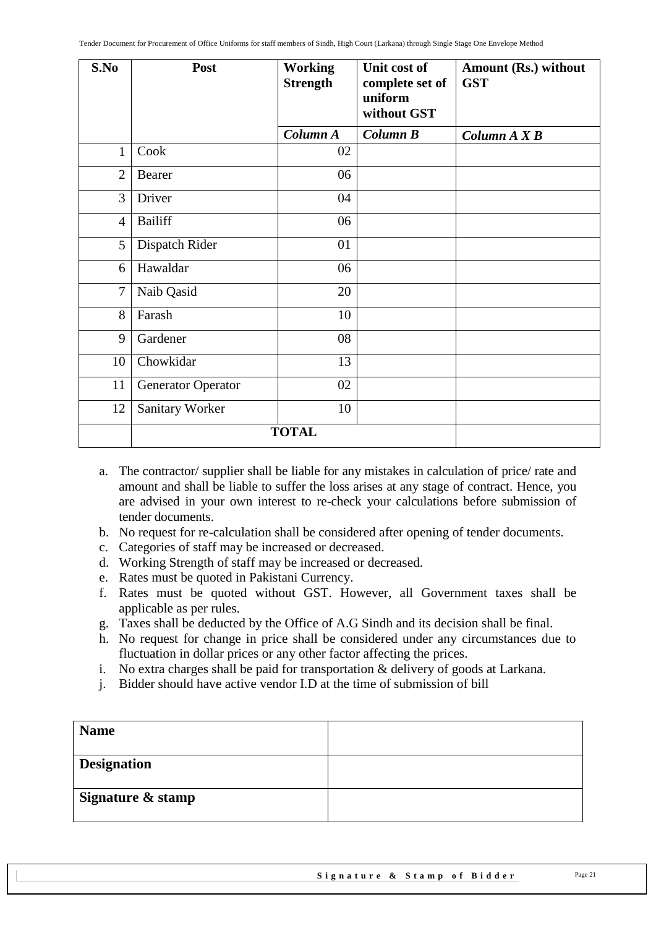| S.No           | Post                      | <b>Working</b><br><b>Strength</b> | Unit cost of<br>complete set of<br>uniform<br>without GST | Amount (Rs.) without<br><b>GST</b> |
|----------------|---------------------------|-----------------------------------|-----------------------------------------------------------|------------------------------------|
|                |                           | Column A                          | Column B                                                  | Column A X B                       |
| $\mathbf{1}$   | Cook                      | 02                                |                                                           |                                    |
| $\overline{2}$ | Bearer                    | 06                                |                                                           |                                    |
| $\overline{3}$ | Driver                    | 04                                |                                                           |                                    |
| $\overline{4}$ | <b>Bailiff</b>            | 06                                |                                                           |                                    |
| 5              | Dispatch Rider            | 01                                |                                                           |                                    |
| 6              | Hawaldar                  | 06                                |                                                           |                                    |
| $\overline{7}$ | Naib Qasid                | 20                                |                                                           |                                    |
| 8              | Farash                    | 10                                |                                                           |                                    |
| 9              | Gardener                  | 08                                |                                                           |                                    |
| 10             | Chowkidar                 | 13                                |                                                           |                                    |
| 11             | <b>Generator Operator</b> | 02                                |                                                           |                                    |
| 12             | Sanitary Worker           | 10                                |                                                           |                                    |
|                |                           | <b>TOTAL</b>                      |                                                           |                                    |

- a. The contractor/ supplier shall be liable for any mistakes in calculation of price/ rate and amount and shall be liable to suffer the loss arises at any stage of contract. Hence, you are advised in your own interest to re-check your calculations before submission of tender documents.
- b. No request for re-calculation shall be considered after opening of tender documents.
- c. Categories of staff may be increased or decreased.
- d. Working Strength of staff may be increased or decreased.
- e. Rates must be quoted in Pakistani Currency.
- f. Rates must be quoted without GST. However, all Government taxes shall be applicable as per rules.
- g. Taxes shall be deducted by the Office of A.G Sindh and its decision shall be final.
- h. No request for change in price shall be considered under any circumstances due to fluctuation in dollar prices or any other factor affecting the prices.
- i. No extra charges shall be paid for transportation & delivery of goods at Larkana.
- j. Bidder should have active vendor I.D at the time of submission of bill

| <b>Name</b>        |  |
|--------------------|--|
| <b>Designation</b> |  |
| Signature & stamp  |  |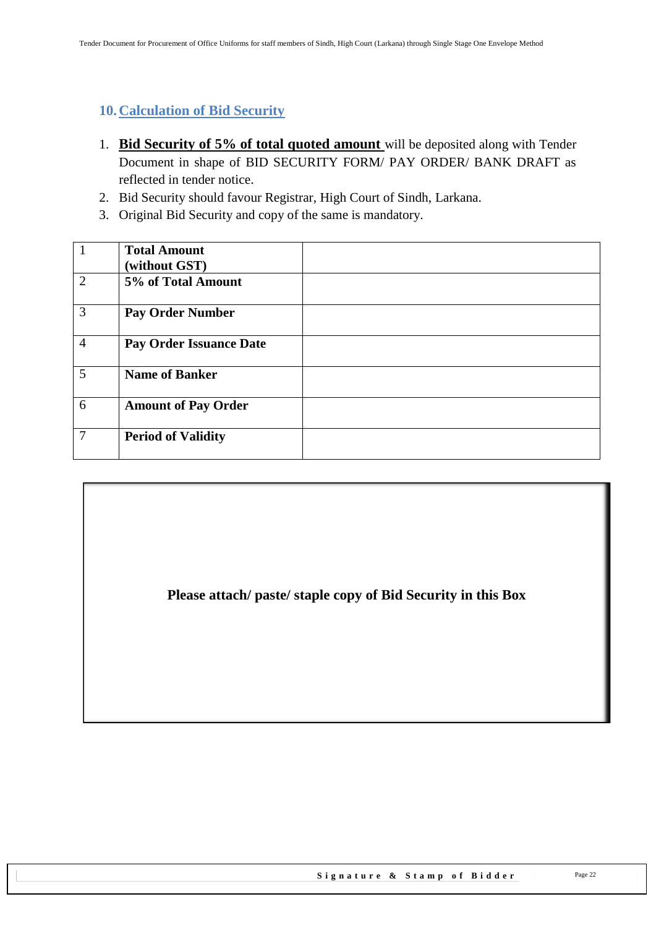### <span id="page-21-0"></span>**10.Calculation of Bid Security**

- 1. **Bid Security of 5% of total quoted amount** will be deposited along with Tender Document in shape of BID SECURITY FORM/ PAY ORDER/ BANK DRAFT as reflected in tender notice.
- 2. Bid Security should favour Registrar, High Court of Sindh, Larkana.
- 3. Original Bid Security and copy of the same is mandatory.

| 1              | <b>Total Amount</b><br>(without GST) |  |
|----------------|--------------------------------------|--|
| 2              | 5% of Total Amount                   |  |
| 3              | <b>Pay Order Number</b>              |  |
| $\overline{4}$ | Pay Order Issuance Date              |  |
| $\overline{5}$ | <b>Name of Banker</b>                |  |
| 6              | <b>Amount of Pay Order</b>           |  |
| $\overline{7}$ | <b>Period of Validity</b>            |  |

**Please attach/ paste/ staple copy of Bid Security in this Box**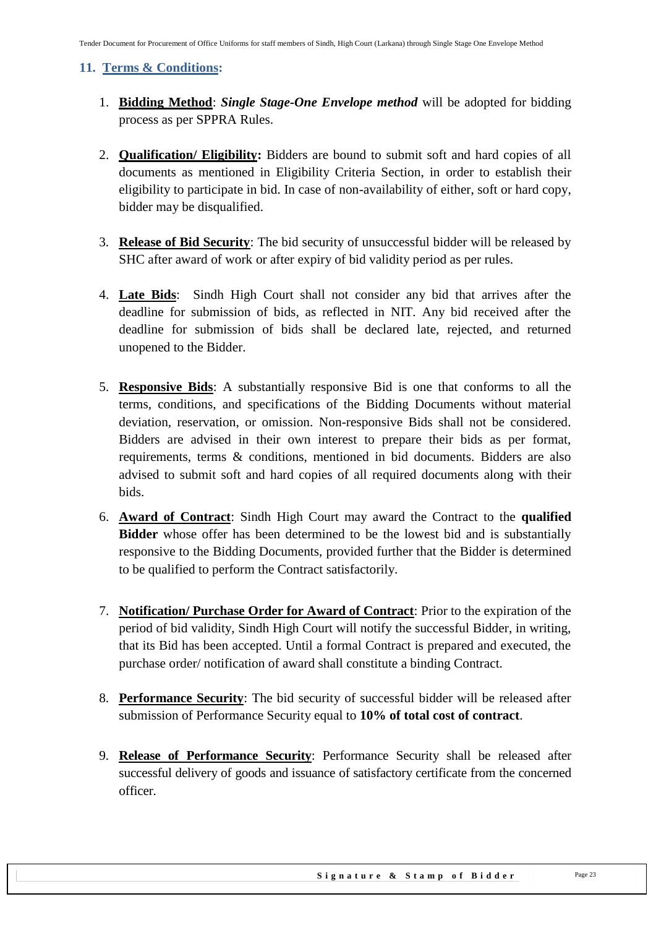#### <span id="page-22-0"></span>**11. Terms & Conditions:**

- 1. **Bidding Method**: *Single Stage-One Envelope method* will be adopted for bidding process as per SPPRA Rules.
- 2. **Qualification/ Eligibility:** Bidders are bound to submit soft and hard copies of all documents as mentioned in Eligibility Criteria Section, in order to establish their eligibility to participate in bid. In case of non-availability of either, soft or hard copy, bidder may be disqualified.
- 3. **Release of Bid Security**: The bid security of unsuccessful bidder will be released by SHC after award of work or after expiry of bid validity period as per rules.
- 4. **Late Bids**: Sindh High Court shall not consider any bid that arrives after the deadline for submission of bids, as reflected in NIT. Any bid received after the deadline for submission of bids shall be declared late, rejected, and returned unopened to the Bidder.
- 5. **Responsive Bids**: A substantially responsive Bid is one that conforms to all the terms, conditions, and specifications of the Bidding Documents without material deviation, reservation, or omission. Non-responsive Bids shall not be considered. Bidders are advised in their own interest to prepare their bids as per format, requirements, terms & conditions, mentioned in bid documents. Bidders are also advised to submit soft and hard copies of all required documents along with their bids.
- 6. **Award of Contract**: Sindh High Court may award the Contract to the **qualified Bidder** whose offer has been determined to be the lowest bid and is substantially responsive to the Bidding Documents, provided further that the Bidder is determined to be qualified to perform the Contract satisfactorily.
- 7. **Notification/ Purchase Order for Award of Contract**: Prior to the expiration of the period of bid validity, Sindh High Court will notify the successful Bidder, in writing, that its Bid has been accepted. Until a formal Contract is prepared and executed, the purchase order/ notification of award shall constitute a binding Contract.
- 8. **Performance Security**: The bid security of successful bidder will be released after submission of Performance Security equal to **10% of total cost of contract**.
- 9. **Release of Performance Security**: Performance Security shall be released after successful delivery of goods and issuance of satisfactory certificate from the concerned officer.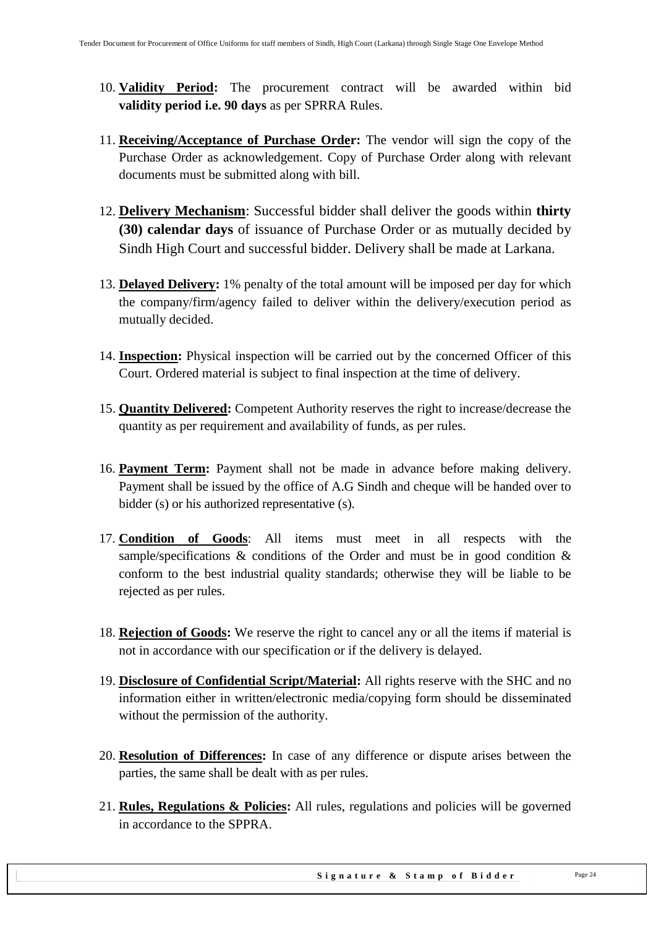- 10. **Validity Period:** The procurement contract will be awarded within bid **validity period i.e. 90 days** as per SPRRA Rules.
- 11. **Receiving/Acceptance of Purchase Order:** The vendor will sign the copy of the Purchase Order as acknowledgement. Copy of Purchase Order along with relevant documents must be submitted along with bill.
- 12. **Delivery Mechanism**: Successful bidder shall deliver the goods within **thirty (30) calendar days** of issuance of Purchase Order or as mutually decided by Sindh High Court and successful bidder. Delivery shall be made at Larkana.
- 13. **Delayed Delivery:** 1% penalty of the total amount will be imposed per day for which the company/firm/agency failed to deliver within the delivery/execution period as mutually decided.
- 14. **Inspection:** Physical inspection will be carried out by the concerned Officer of this Court. Ordered material is subject to final inspection at the time of delivery.
- 15. **Quantity Delivered:** Competent Authority reserves the right to increase/decrease the quantity as per requirement and availability of funds, as per rules.
- 16. **Payment Term:** Payment shall not be made in advance before making delivery. Payment shall be issued by the office of A.G Sindh and cheque will be handed over to bidder (s) or his authorized representative (s).
- 17. **Condition of Goods**: All items must meet in all respects with the sample/specifications  $\&$  conditions of the Order and must be in good condition  $\&$ conform to the best industrial quality standards; otherwise they will be liable to be rejected as per rules.
- 18. **Rejection of Goods:** We reserve the right to cancel any or all the items if material is not in accordance with our specification or if the delivery is delayed.
- 19. **Disclosure of Confidential Script/Material:** All rights reserve with the SHC and no information either in written/electronic media/copying form should be disseminated without the permission of the authority.
- 20. **Resolution of Differences:** In case of any difference or dispute arises between the parties, the same shall be dealt with as per rules.
- 21. **Rules, Regulations & Policies:** All rules, regulations and policies will be governed in accordance to the SPPRA.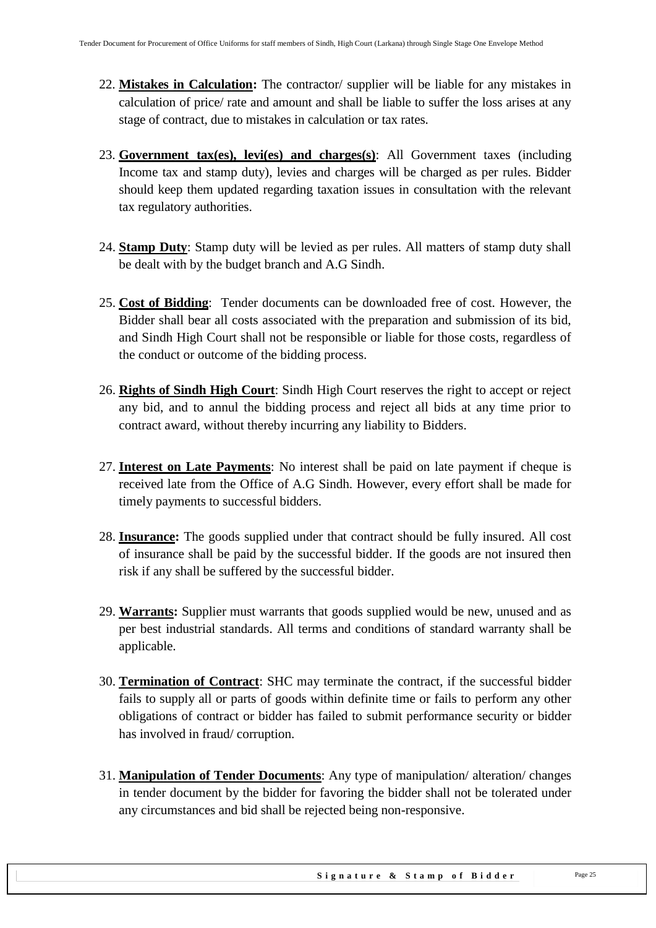- 22. **Mistakes in Calculation:** The contractor/ supplier will be liable for any mistakes in calculation of price/ rate and amount and shall be liable to suffer the loss arises at any stage of contract, due to mistakes in calculation or tax rates.
- 23. **Government tax(es), levi(es) and charges(s)**: All Government taxes (including Income tax and stamp duty), levies and charges will be charged as per rules. Bidder should keep them updated regarding taxation issues in consultation with the relevant tax regulatory authorities.
- 24. **Stamp Duty**: Stamp duty will be levied as per rules. All matters of stamp duty shall be dealt with by the budget branch and A.G Sindh.
- 25. **Cost of Bidding**: Tender documents can be downloaded free of cost. However, the Bidder shall bear all costs associated with the preparation and submission of its bid, and Sindh High Court shall not be responsible or liable for those costs, regardless of the conduct or outcome of the bidding process.
- 26. **Rights of Sindh High Court**: Sindh High Court reserves the right to accept or reject any bid, and to annul the bidding process and reject all bids at any time prior to contract award, without thereby incurring any liability to Bidders.
- 27. **Interest on Late Payments**: No interest shall be paid on late payment if cheque is received late from the Office of A.G Sindh. However, every effort shall be made for timely payments to successful bidders.
- 28. **Insurance:** The goods supplied under that contract should be fully insured. All cost of insurance shall be paid by the successful bidder. If the goods are not insured then risk if any shall be suffered by the successful bidder.
- 29. **Warrants:** Supplier must warrants that goods supplied would be new, unused and as per best industrial standards. All terms and conditions of standard warranty shall be applicable.
- 30. **Termination of Contract**: SHC may terminate the contract, if the successful bidder fails to supply all or parts of goods within definite time or fails to perform any other obligations of contract or bidder has failed to submit performance security or bidder has involved in fraud/ corruption.
- 31. **Manipulation of Tender Documents**: Any type of manipulation/ alteration/ changes in tender document by the bidder for favoring the bidder shall not be tolerated under any circumstances and bid shall be rejected being non-responsive.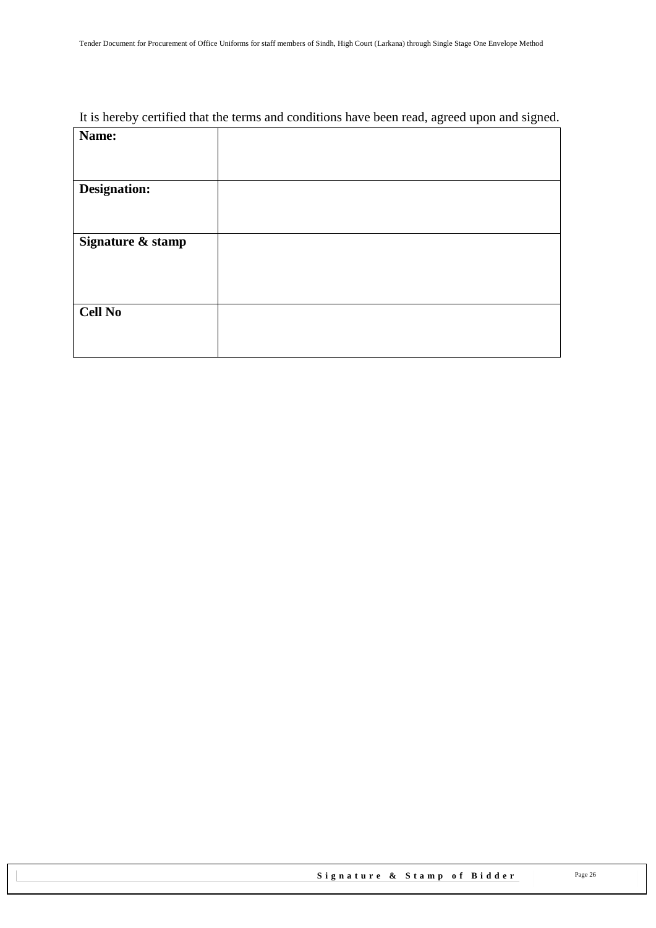### It is hereby certified that the terms and conditions have been read, agreed upon and signed.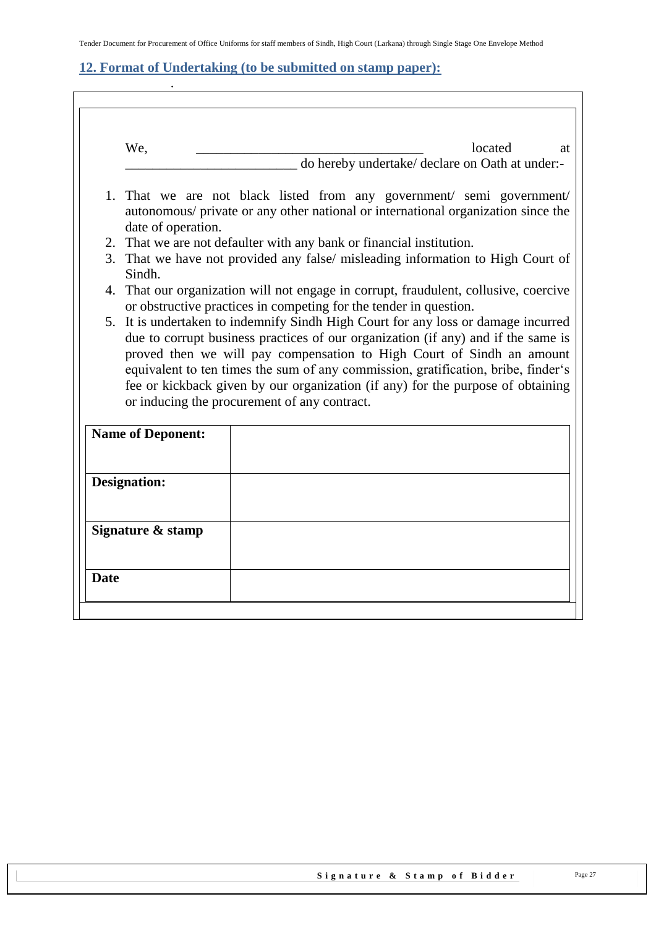### <span id="page-26-0"></span>**12. Format of Undertaking (to be submitted on stamp paper):**

.

 $\overline{\phantom{a}}$ 

| We,                      | located<br>at<br>do hereby undertake/ declare on Oath at under:-                                                                                                                                                                                                                                                                   |
|--------------------------|------------------------------------------------------------------------------------------------------------------------------------------------------------------------------------------------------------------------------------------------------------------------------------------------------------------------------------|
|                          |                                                                                                                                                                                                                                                                                                                                    |
| date of operation.       | 1. That we are not black listed from any government/ semi government/<br>autonomous/ private or any other national or international organization since the                                                                                                                                                                         |
|                          | 2. That we are not defaulter with any bank or financial institution.                                                                                                                                                                                                                                                               |
| Sindh.                   | 3. That we have not provided any false/ misleading information to High Court of                                                                                                                                                                                                                                                    |
|                          | 4. That our organization will not engage in corrupt, fraudulent, collusive, coercive<br>or obstructive practices in competing for the tender in question.                                                                                                                                                                          |
|                          | 5. It is undertaken to indemnify Sindh High Court for any loss or damage incurred                                                                                                                                                                                                                                                  |
|                          | or inducing the procurement of any contract.                                                                                                                                                                                                                                                                                       |
| <b>Name of Deponent:</b> |                                                                                                                                                                                                                                                                                                                                    |
| <b>Designation:</b>      | due to corrupt business practices of our organization (if any) and if the same is<br>proved then we will pay compensation to High Court of Sindh an amount<br>equivalent to ten times the sum of any commission, gratification, bribe, finder's<br>fee or kickback given by our organization (if any) for the purpose of obtaining |
| Signature & stamp        |                                                                                                                                                                                                                                                                                                                                    |